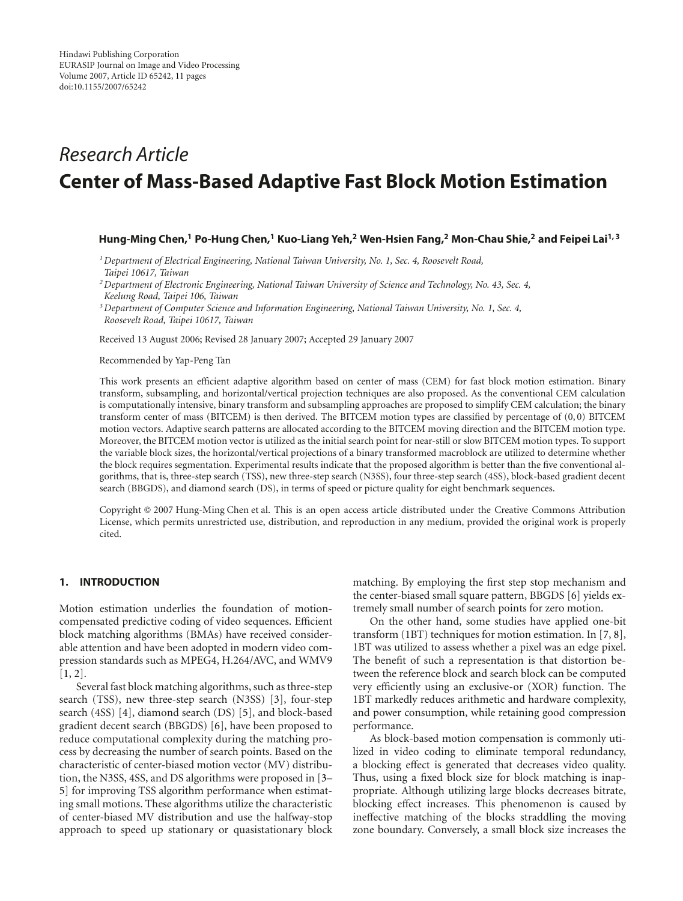# *Research Article* **Center of Mass-Based Adaptive Fast Block Motion Estimation**

# **Hung-Ming Chen,1 Po-Hung Chen,1 Kuo-Liang Yeh,2 Wen-Hsien Fang,2 Mon-Chau Shie,2 and Feipei Lai1, 3**

*1Department of Electrical Engineering, National Taiwan University, No. 1, Sec. 4, Roosevelt Road, Taipei 10617, Taiwan*

*2Department of Electronic Engineering, National Taiwan University of Science and Technology, No. 43, Sec. 4, Keelung Road, Taipei 106, Taiwan*

*3Department of Computer Science and Information Engineering, National Taiwan University, No. 1, Sec. 4, Roosevelt Road, Taipei 10617, Taiwan*

Received 13 August 2006; Revised 28 January 2007; Accepted 29 January 2007

Recommended by Yap-Peng Tan

This work presents an efficient adaptive algorithm based on center of mass (CEM) for fast block motion estimation. Binary transform, subsampling, and horizontal/vertical projection techniques are also proposed. As the conventional CEM calculation is computationally intensive, binary transform and subsampling approaches are proposed to simplify CEM calculation; the binary transform center of mass (BITCEM) is then derived. The BITCEM motion types are classified by percentage of  $(0,0)$  BITCEM motion vectors. Adaptive search patterns are allocated according to the BITCEM moving direction and the BITCEM motion type. Moreover, the BITCEM motion vector is utilized as the initial search point for near-still or slow BITCEM motion types. To support the variable block sizes, the horizontal/vertical projections of a binary transformed macroblock are utilized to determine whether the block requires segmentation. Experimental results indicate that the proposed algorithm is better than the five conventional algorithms, that is, three-step search (TSS), new three-step search (N3SS), four three-step search (4SS), block-based gradient decent search (BBGDS), and diamond search (DS), in terms of speed or picture quality for eight benchmark sequences.

Copyright © 2007 Hung-Ming Chen et al. This is an open access article distributed under the Creative Commons Attribution License, which permits unrestricted use, distribution, and reproduction in any medium, provided the original work is properly cited.

# **1. INTRODUCTION**

Motion estimation underlies the foundation of motioncompensated predictive coding of video sequences. Efficient block matching algorithms (BMAs) have received considerable attention and have been adopted in modern video compression standards such as MPEG4, H.264/AVC, and WMV9  $[1, 2]$  $[1, 2]$  $[1, 2]$  $[1, 2]$ .

Several fast block matching algorithms, such as three-step search (TSS), new three-step search (N3SS) [\[3\]](#page-10-3), four-step search (4SS) [\[4](#page-10-4)], diamond search (DS) [\[5\]](#page-10-5), and block-based gradient decent search (BBGDS) [\[6](#page-10-6)], have been proposed to reduce computational complexity during the matching process by decreasing the number of search points. Based on the characteristic of center-biased motion vector (MV) distribution, the N3SS, 4SS, and DS algorithms were proposed in [\[3](#page-10-3)– [5\]](#page-10-5) for improving TSS algorithm performance when estimating small motions. These algorithms utilize the characteristic of center-biased MV distribution and use the halfway-stop approach to speed up stationary or quasistationary block matching. By employing the first step stop mechanism and the center-biased small square pattern, BBGDS [\[6\]](#page-10-6) yields extremely small number of search points for zero motion.

On the other hand, some studies have applied one-bit transform (1BT) techniques for motion estimation. In [\[7,](#page-10-7) [8](#page-10-8)], 1BT was utilized to assess whether a pixel was an edge pixel. The benefit of such a representation is that distortion between the reference block and search block can be computed very efficiently using an exclusive-or (XOR) function. The 1BT markedly reduces arithmetic and hardware complexity, and power consumption, while retaining good compression performance.

As block-based motion compensation is commonly utilized in video coding to eliminate temporal redundancy, a blocking effect is generated that decreases video quality. Thus, using a fixed block size for block matching is inappropriate. Although utilizing large blocks decreases bitrate, blocking effect increases. This phenomenon is caused by ineffective matching of the blocks straddling the moving zone boundary. Conversely, a small block size increases the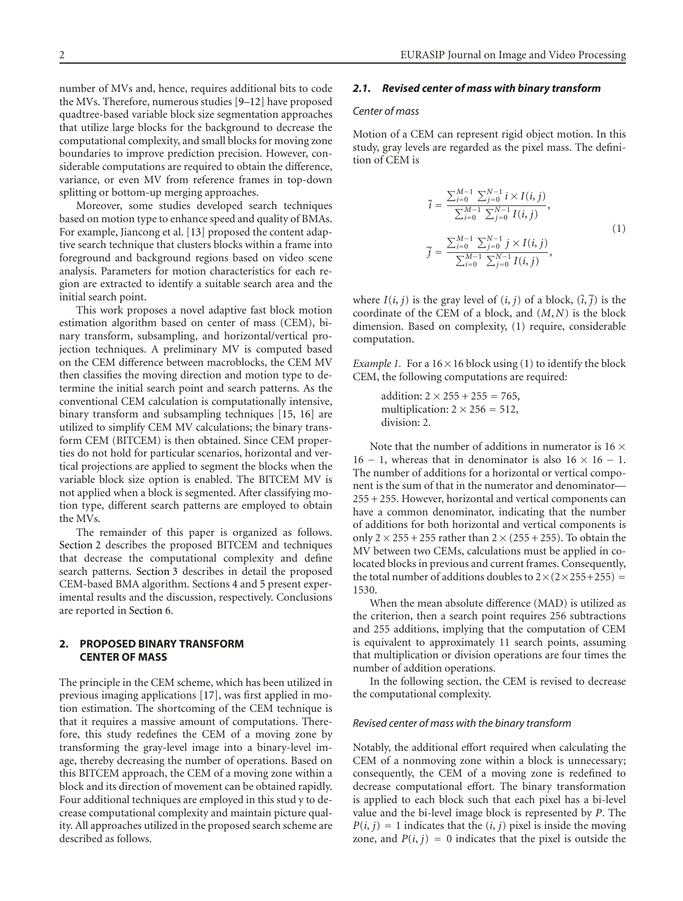number of MVs and, hence, requires additional bits to code the MVs. Therefore, numerous studies [\[9](#page-10-9)[–12](#page-10-10)] have proposed quadtree-based variable block size segmentation approaches that utilize large blocks for the background to decrease the computational complexity, and small blocks for moving zone boundaries to improve prediction precision. However, considerable computations are required to obtain the difference, variance, or even MV from reference frames in top-down splitting or bottom-up merging approaches.

Moreover, some studies developed search techniques based on motion type to enhance speed and quality of BMAs. For example, Jiancong et al. [\[13\]](#page-10-11) proposed the content adaptive search technique that clusters blocks within a frame into foreground and background regions based on video scene analysis. Parameters for motion characteristics for each region are extracted to identify a suitable search area and the initial search point.

This work proposes a novel adaptive fast block motion estimation algorithm based on center of mass (CEM), binary transform, subsampling, and horizontal/vertical projection techniques. A preliminary MV is computed based on the CEM difference between macroblocks, the CEM MV then classifies the moving direction and motion type to determine the initial search point and search patterns. As the conventional CEM calculation is computationally intensive, binary transform and subsampling techniques [\[15](#page-10-12), [16\]](#page-10-13) are utilized to simplify CEM MV calculations; the binary transform CEM (BITCEM) is then obtained. Since CEM properties do not hold for particular scenarios, horizontal and vertical projections are applied to segment the blocks when the variable block size option is enabled. The BITCEM MV is not applied when a block is segmented. After classifying motion type, different search patterns are employed to obtain the MVs.

The remainder of this paper is organized as follows. [Section 2](#page-1-0) describes the proposed BITCEM and techniques that decrease the computational complexity and define search patterns. [Section 3](#page-6-0) describes in detail the proposed CEM-based BMA algorithm. Sections [4](#page-7-0) and [5](#page-8-0) present experimental results and the discussion, respectively. Conclusions are reported in [Section 6.](#page-9-0)

# <span id="page-1-0"></span>**2. PROPOSED BINARY TRANSFORM CENTER OF MASS**

The principle in the CEM scheme, which has been utilized in previous imaging applications [\[17](#page-10-14)], was first applied in motion estimation. The shortcoming of the CEM technique is that it requires a massive amount of computations. Therefore, this study redefines the CEM of a moving zone by transforming the gray-level image into a binary-level image, thereby decreasing the number of operations. Based on this BITCEM approach, the CEM of a moving zone within a block and its direction of movement can be obtained rapidly. Four additional techniques are employed in this stud y to decrease computational complexity and maintain picture quality. All approaches utilized in the proposed search scheme are described as follows.

# *2.1. Revised center of mass with binary transform*

## *Center of mass*

Motion of a CEM can represent rigid object motion. In this study, gray levels are regarded as the pixel mass. The definition of CEM is

<span id="page-1-1"></span>
$$
\overline{i} = \frac{\sum_{i=0}^{M-1} \sum_{j=0}^{N-1} i \times I(i, j)}{\sum_{i=0}^{M-1} \sum_{j=0}^{N-1} I(i, j)},
$$
\n
$$
\overline{j} = \frac{\sum_{i=0}^{M-1} \sum_{j=0}^{N-1} j \times I(i, j)}{\sum_{i=0}^{M-1} \sum_{j=0}^{N-1} I(i, j)},
$$
\n(1)

where  $I(i, j)$  is the gray level of  $(i, j)$  of a block,  $(\overline{i}, \overline{j})$  is the coordinate of the CEM of a block, and (*M*, *N*) is the block dimension. Based on complexity, [\(1\)](#page-1-1) require, considerable computation.

*Example 1.* For a  $16 \times 16$  block using [\(1\)](#page-1-1) to identify the block CEM, the following computations are required:

> addition:  $2 \times 255 + 255 = 765$ , multiplication:  $2 \times 256 = 512$ , division: 2.

Note that the number of additions in numerator is  $16 \times$ 16 − 1, whereas that in denominator is also  $16 \times 16 - 1$ . The number of additions for a horizontal or vertical component is the sum of that in the numerator and denominator— 255 + 255. However, horizontal and vertical components can have a common denominator, indicating that the number of additions for both horizontal and vertical components is only  $2 \times 255 + 255$  rather than  $2 \times (255 + 255)$ . To obtain the MV between two CEMs, calculations must be applied in colocated blocks in previous and current frames. Consequently, the total number of additions doubles to  $2 \times (2 \times 255 + 255)$  = 1530.

When the mean absolute difference (MAD) is utilized as the criterion, then a search point requires 256 subtractions and 255 additions, implying that the computation of CEM is equivalent to approximately 11 search points, assuming that multiplication or division operations are four times the number of addition operations.

In the following section, the CEM is revised to decrease the computational complexity.

#### *Revised center of mass with the binary transform*

Notably, the additional effort required when calculating the CEM of a nonmoving zone within a block is unnecessary; consequently, the CEM of a moving zone is redefined to decrease computational effort. The binary transformation is applied to each block such that each pixel has a bi-level value and the bi-level image block is represented by *P*. The  $P(i, j) = 1$  indicates that the  $(i, j)$  pixel is inside the moving zone, and  $P(i, j) = 0$  indicates that the pixel is outside the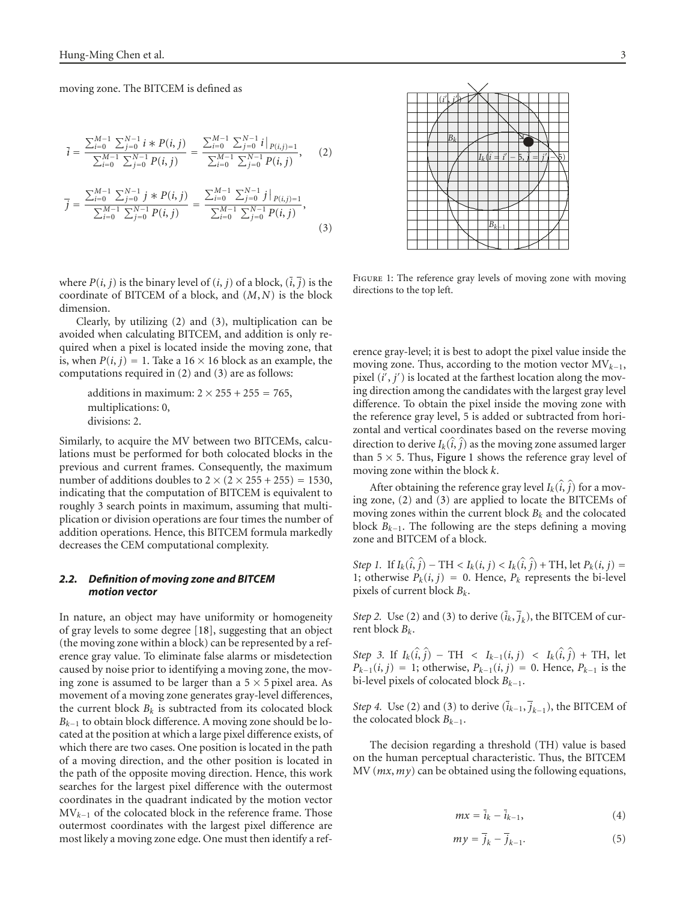moving zone. The BITCEM is defined as

<span id="page-2-0"></span>
$$
\overline{i} = \frac{\sum_{i=0}^{M-1} \sum_{j=0}^{N-1} i * P(i, j)}{\sum_{i=0}^{M-1} \sum_{j=0}^{N-1} P(i, j)} = \frac{\sum_{i=0}^{M-1} \sum_{j=0}^{N-1} i \Big|_{P(i,j)=1}}{\sum_{i=0}^{M-1} \sum_{j=0}^{N-1} P(i, j)}, \quad (2)
$$

$$
\overline{j} = \frac{\sum_{i=0}^{M-1} \sum_{j=0}^{N-1} j * P(i, j)}{\sum_{i=0}^{M-1} \sum_{j=0}^{N-1} P(i, j)} = \frac{\sum_{i=0}^{M-1} \sum_{j=0}^{N-1} j \Big|_{P(i,j)=1}}{\sum_{i=0}^{M-1} \sum_{j=0}^{N-1} P(i, j)}, \quad (3)
$$

where  $P(i, j)$  is the binary level of  $(i, j)$  of a block,  $(\overline{i}, \overline{j})$  is the coordinate of BITCEM of a block, and (*M*, *N*) is the block dimension.

Clearly, by utilizing [\(2\)](#page-2-0) and [\(3\)](#page-2-1), multiplication can be avoided when calculating BITCEM, and addition is only required when a pixel is located inside the moving zone, that is, when  $P(i, j) = 1$ . Take a 16  $\times$  16 block as an example, the computations required in [\(2\)](#page-2-0) and [\(3\)](#page-2-1) are as follows:

> additions in maximum:  $2 \times 255 + 255 = 765$ , multiplications: 0, divisions: 2.

Similarly, to acquire the MV between two BITCEMs, calculations must be performed for both colocated blocks in the previous and current frames. Consequently, the maximum number of additions doubles to  $2 \times (2 \times 255 + 255) = 1530$ , indicating that the computation of BITCEM is equivalent to roughly 3 search points in maximum, assuming that multiplication or division operations are four times the number of addition operations. Hence, this BITCEM formula markedly decreases the CEM computational complexity.

# *2.2. Definition of moving zone and BITCEM motion vector*

In nature, an object may have uniformity or homogeneity of gray levels to some degree [\[18\]](#page-10-15), suggesting that an object (the moving zone within a block) can be represented by a reference gray value. To eliminate false alarms or misdetection caused by noise prior to identifying a moving zone, the moving zone is assumed to be larger than a  $5 \times 5$  pixel area. As movement of a moving zone generates gray-level differences, the current block  $B_k$  is subtracted from its colocated block *Bk*−<sup>1</sup> to obtain block difference. A moving zone should be located at the position at which a large pixel difference exists, of which there are two cases. One position is located in the path of a moving direction, and the other position is located in the path of the opposite moving direction. Hence, this work searches for the largest pixel difference with the outermost coordinates in the quadrant indicated by the motion vector MV*<sup>k</sup>*−<sup>1</sup> of the colocated block in the reference frame. Those outermost coordinates with the largest pixel difference are most likely a moving zone edge. One must then identify a ref-

(*i* , *j*  $\rightarrow$ *Bk Ik*(*i*  $\hat{i} = i$  <sup>−</sup> 5, *<sup>j</sup>* <sup>=</sup> *<sup>j</sup>* ′/−\5) *Bk*−<sup>1</sup>

<span id="page-2-2"></span><span id="page-2-1"></span>FIGURE 1: The reference gray levels of moving zone with moving directions to the top left.

erence gray-level; it is best to adopt the pixel value inside the moving zone. Thus, according to the motion vector MV*<sup>k</sup>*−1, pixel (*i'*, *j'*) is located at the farthest location along the moving direction among the candidates with the largest gray level difference. To obtain the pixel inside the moving zone with the reference gray level, 5 is added or subtracted from horizontal and vertical coordinates based on the reverse moving direction to derive  $I_k(\hat{i}, \hat{j})$  as the moving zone assumed larger than  $5 \times 5$ . Thus, [Figure 1](#page-2-2) shows the reference gray level of moving zone within the block *k*.

After obtaining the reference gray level  $I_k(\hat{i}, \hat{j})$  for a mov-<br>(2)  $I(3)$ ing zone, [\(2\)](#page-2-0) and [\(3\)](#page-2-1) are applied to locate the BITCEMs of moving zones within the current block  $B_k$  and the colocated block *Bk*−1. The following are the steps defining a moving zone and BITCEM of a block.

*Step 1.* If  $I_k(\hat{i}, \hat{j}) - TH < I_k(i, j) < I_k(\hat{i}, \hat{j}) + TH$ , let  $P_k(i, j) =$ 1; otherwise  $P_k(i, j) = 0$ . Hence,  $P_k$  represents the bi-level pixels of current block *Bk*.

*Step 2.* Use [\(2\)](#page-2-0) and [\(3\)](#page-2-1) to derive  $(\overline{i}_k, \overline{j}_k)$ , the BITCEM of current block *Bk*.

*Step 3.* If  $I_k(\hat{i}, \hat{j})$  – TH  $\langle I_{k-1}(i, j) \rangle \langle I_k(\hat{i}, \hat{j})$  + TH, let  $P_{k-1}(i, j) = 1$ ; otherwise,  $P_{k-1}(i, j) = 0$ . Hence,  $P_{k-1}$  is the bi-level pixels of colocated block *Bk*−1.

*Step 4.* Use [\(2\)](#page-2-0) and [\(3\)](#page-2-1) to derive  $(\overline{i}_{k-1}, \overline{j}_{k-1})$ , the BITCEM of the colocated block  $B_{k-1}$ .

The decision regarding a threshold (TH) value is based on the human perceptual characteristic. Thus, the BITCEM MV (*mx*,*my*) can be obtained using the following equations,

<span id="page-2-4"></span><span id="page-2-3"></span>
$$
mx = \overline{i}_k - \overline{i}_{k-1},\tag{4}
$$

$$
my = \overline{j}_k - \overline{j}_{k-1}.
$$
 (5)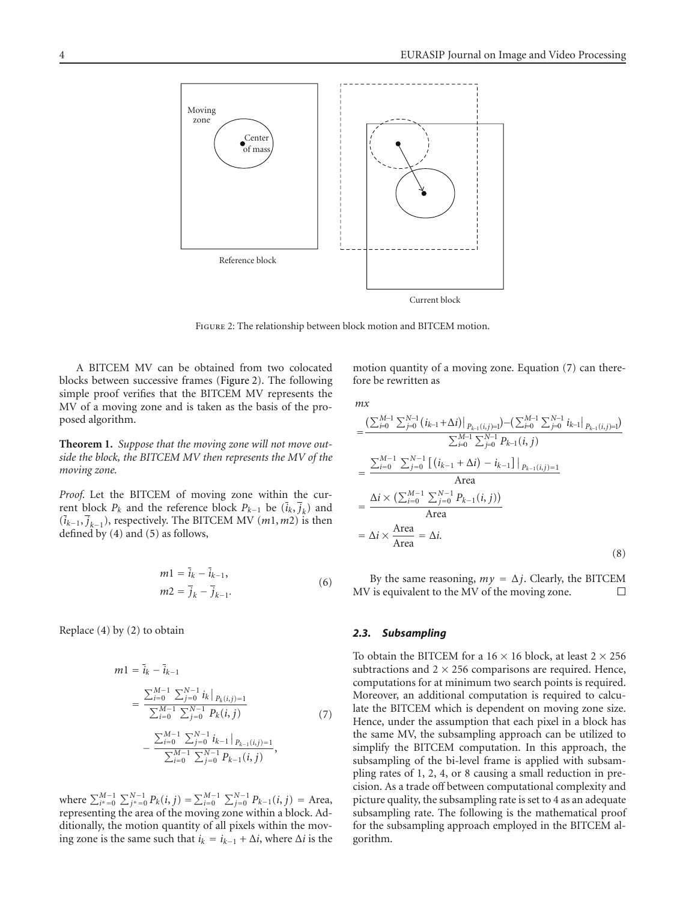

<span id="page-3-0"></span>Figure 2: The relationship between block motion and BITCEM motion.

A BITCEM MV can be obtained from two colocated blocks between successive frames [\(Figure 2\)](#page-3-0). The following simple proof verifies that the BITCEM MV represents the MV of a moving zone and is taken as the basis of the proposed algorithm.

<span id="page-3-2"></span>**Theorem 1.** *Suppose that the moving zone will not move outside the block, the BITCEM MV then represents the MV of the moving zone.*

*Proof.* Let the BITCEM of moving zone within the current block  $P_k$  and the reference block  $P_{k-1}$  be  $(\bar{i}_k, \bar{j}_k)$  and (*ik*−1, *jk*−<sup>1</sup>), respectively. The BITCEM MV (*m*1,*m*2) is then defined by [\(4\)](#page-2-3) and [\(5\)](#page-2-4) as follows,

$$
m1 = \bar{i}_k - \bar{i}_{k-1},
$$
  
\n
$$
m2 = \bar{j}_k - \bar{j}_{k-1}.
$$
\n(6)

Replace [\(4\)](#page-2-3) by [\(2\)](#page-2-0) to obtain

$$
m1 = \bar{i}_k - \bar{i}_{k-1}
$$
  
= 
$$
\frac{\sum_{i=0}^{M-1} \sum_{j=0}^{N-1} i_k |_{P_k(i,j)=1}}{\sum_{i=0}^{M-1} \sum_{j=0}^{N-1} P_k(i,j)}
$$
  
- 
$$
\frac{\sum_{i=0}^{M-1} \sum_{j=0}^{N-1} i_{k-1} |_{P_{k-1}(i,j)=1}}{\sum_{i=0}^{M-1} \sum_{j=0}^{N-1} P_{k-1}(i,j)},
$$
(7)

where  $\sum_{i^* = 0}^{M-1} \sum_{j^* = 0}^{N-1} P_k(i, j) = \sum_{i=0}^{M-1} \sum_{j=0}^{N-1} P_{k-1}(i, j) = \text{Area},$ representing the area of the moving zone within a block. Additionally, the motion quantity of all pixels within the moving zone is the same such that  $i_k = i_{k-1} + \Delta i$ , where  $\Delta i$  is the motion quantity of a moving zone. Equation [\(7\)](#page-3-1) can therefore be rewritten as

*mx*

$$
= \frac{\left(\sum_{i=0}^{M-1} \sum_{j=0}^{N-1} (i_{k-1} + \Delta i)\right|_{P_{k-1}(i,j)=1}) - \left(\sum_{i=0}^{M-1} \sum_{j=0}^{N-1} i_{k-1}\right|_{P_{k-1}(i,j)=1})}{\sum_{i=0}^{M-1} \sum_{j=0}^{N-1} P_{k-1}(i,j)}
$$

$$
= \frac{\sum_{i=0}^{M-1} \sum_{j=0}^{N-1} \left[ (i_{k-1} + \Delta i) - i_{k-1} \right] \big|_{P_{k-1}(i,j)=1}}{\text{Area}}
$$

$$
= \frac{\Delta i \times \left(\sum_{i=0}^{M-1} \sum_{j=0}^{N-1} P_{k-1}(i,j)\right)}{\text{Area}}
$$

$$
= \Delta i \times \frac{\text{Area}}{\text{Area}} = \Delta i. \tag{8}
$$

By the same reasoning,  $my = \Delta j$ . Clearly, the BITCEM<br>is equivalent to the MV of the moving zone. MV is equivalent to the MV of the moving zone.

## *2.3. Subsampling*

<span id="page-3-1"></span>To obtain the BITCEM for a  $16 \times 16$  block, at least  $2 \times 256$ subtractions and  $2 \times 256$  comparisons are required. Hence, computations for at minimum two search points is required. Moreover, an additional computation is required to calculate the BITCEM which is dependent on moving zone size. Hence, under the assumption that each pixel in a block has the same MV, the subsampling approach can be utilized to simplify the BITCEM computation. In this approach, the subsampling of the bi-level frame is applied with subsampling rates of 1, 2, 4, or 8 causing a small reduction in precision. As a trade off between computational complexity and picture quality, the subsampling rate is set to 4 as an adequate subsampling rate. The following is the mathematical proof for the subsampling approach employed in the BITCEM algorithm.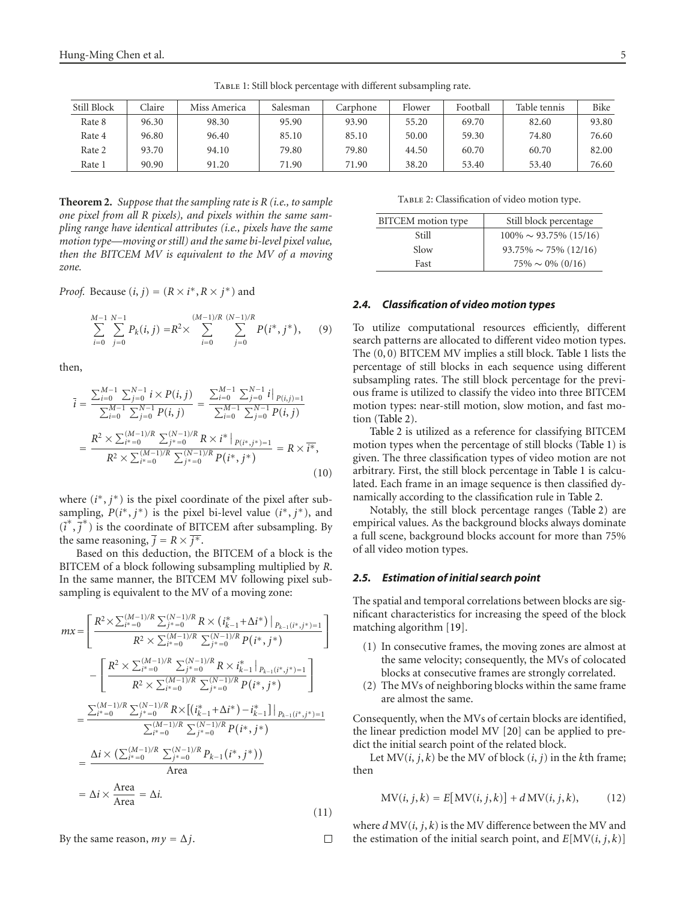| Still Block | <b>Claire</b> | Miss America | Salesman | Carphone | Flower | Football | Table tennis | Bike  |
|-------------|---------------|--------------|----------|----------|--------|----------|--------------|-------|
| Rate 8      | 96.30         | 98.30        | 95.90    | 93.90    | 55.20  | 69.70    | 82.60        | 93.80 |
| Rate 4      | 96.80         | 96.40        | 85.10    | 85.10    | 50.00  | 59.30    | 74.80        | 76.60 |
| Rate 2      | 93.70         | 94.10        | 79.80    | 79.80    | 44.50  | 60.70    | 60.70        | 82.00 |
| Rate 1      | 90.90         | 91.20        | 71.90    | 71.90    | 38.20  | 53.40    | 53.40        | 76.60 |

<span id="page-4-0"></span>TABLE 1: Still block percentage with different subsampling rate.

**Theorem 2.** *Suppose that the sampling rate is R (i.e., to sample one pixel from all R pixels), and pixels within the same sampling range have identical attributes (i.e., pixels have the same motion type—moving or still) and the same bi-level pixel value, then the BITCEM MV is equivalent to the MV of a moving zone.*

*Proof.* Because  $(i, j) = (R \times i^*, R \times j^*)$  and

$$
\sum_{i=0}^{M-1} \sum_{j=0}^{N-1} P_k(i,j) = R^2 \times \sum_{i=0}^{(M-1)/R} \sum_{j=0}^{(N-1)/R} P(i^*, j^*), \qquad (9)
$$

then,

$$
\overline{i} = \frac{\sum_{i=0}^{M-1} \sum_{j=0}^{N-1} i \times P(i, j)}{\sum_{i=0}^{M-1} \sum_{j=0}^{N-1} P(i, j)} = \frac{\sum_{i=0}^{M-1} \sum_{j=0}^{N-1} i \big|_{P(i,j)=1}}{\sum_{i=0}^{M-1} \sum_{j=0}^{N-1} P(i, j)}
$$
\n
$$
= \frac{R^2 \times \sum_{i^*=0}^{(M-1)/R} \sum_{j^*=0}^{(N-1)/R} R \times i^* \big|_{P(i^*, j^*)=1}}{R^2 \times \sum_{i^*=0}^{(M-1)/R} \sum_{j^*=0}^{(N-1)/R} P(i^*, j^*)} = R \times \overline{i^*},
$$
\n(10)

where (*i*<sup>\*</sup>, *j*<sup>\*</sup>) is the pixel coordinate of the pixel after subsampling,  $P(i^*, j^*)$  is the pixel bi-level value  $(i^*, j^*)$ , and  $(\overline{i}^*, \overline{j}^*)$  is the coordinate of BITCEM after subsampling. By the same reasoning,  $\overline{j} = R \times \overline{j^*}.$ 

Based on this deduction, the BITCEM of a block is the BITCEM of a block following subsampling multiplied by *R*. In the same manner, the BITCEM MV following pixel subsampling is equivalent to the MV of a moving zone:

$$
mx = \left[ \frac{R^2 \times \sum_{i^* = 0}^{(M-1)/R} \sum_{j^* = 0}^{(N-1)/R} R \times (i_{k-1}^* + \Delta i^*) |_{P_{k-1}(i^*, j^*) = 1}}{R^2 \times \sum_{i^* = 0}^{(M-1)/R} \sum_{j^* = 0}^{(N-1)/R} P(i^*, j^*)} \right]
$$
  
- 
$$
\left[ \frac{R^2 \times \sum_{i^* = 0}^{(M-1)/R} \sum_{j^* = 0}^{(N-1)/R} R \times i_{k-1}^* |_{P_{k-1}(i^*, j^*) = 1}}{R^2 \times \sum_{i^* = 0}^{(M-1)/R} \sum_{j^* = 0}^{(N-1)/R} P(i^*, j^*)} \right]
$$
  
= 
$$
\frac{\sum_{i^* = 0}^{(M-1)/R} \sum_{j^* = 0}^{(N-1)/R} R \times [(i_{k-1}^* + \Delta i^*) - i_{k-1}^*] |_{P_{k-1}(i^*, j^*) = 1}}{\sum_{i^* = 0}^{(M-1)/R} \sum_{j^* = 0}^{(N-1)/R} P(i^*, j^*)}
$$
  
= 
$$
\frac{\Delta i \times (\sum_{i^* = 0}^{(M-1)/R} \sum_{j^* = 0}^{(N-1)/R} P_{k-1}(i^*, j^*))}{\text{Area}}
$$
  
= 
$$
\Delta i \times \frac{\text{Area}}{\text{Area}} = \Delta i. \tag{11}
$$

By the same reason,  $my = \Delta j$ .  $\Box$ 

TABLE 2: Classification of video motion type.

<span id="page-4-1"></span>

| BITCEM motion type | Still block percentage       |
|--------------------|------------------------------|
| Still              | $100\% \sim 93.75\%$ (15/16) |
| Slow               | $93.75\% \sim 75\%$ (12/16)  |
| Fast               | $75\% \sim 0\%$ (0/16)       |

#### *2.4. Classification of video motion types*

To utilize computational resources efficiently, different search patterns are allocated to different video motion types. The (0, 0) BITCEM MV implies a still block. [Table 1](#page-4-0) lists the percentage of still blocks in each sequence using different subsampling rates. The still block percentage for the previous frame is utilized to classify the video into three BITCEM motion types: near-still motion, slow motion, and fast motion [\(Table 2\)](#page-4-1).

[Table 2](#page-4-1) is utilized as a reference for classifying BITCEM motion types when the percentage of still blocks [\(Table 1\)](#page-4-0) is given. The three classification types of video motion are not arbitrary. First, the still block percentage in [Table 1](#page-4-0) is calculated. Each frame in an image sequence is then classified dynamically according to the classification rule in [Table 2.](#page-4-1)

Notably, the still block percentage ranges [\(Table 2\)](#page-4-1) are empirical values. As the background blocks always dominate a full scene, background blocks account for more than 75% of all video motion types.

#### <span id="page-4-2"></span>*2.5. Estimation of initial search point*

The spatial and temporal correlations between blocks are significant characteristics for increasing the speed of the block matching algorithm [\[19](#page-10-16)].

- (1) In consecutive frames, the moving zones are almost at the same velocity; consequently, the MVs of colocated blocks at consecutive frames are strongly correlated.
- (2) The MVs of neighboring blocks within the same frame are almost the same.

Consequently, when the MVs of certain blocks are identified, the linear prediction model MV [\[20](#page-10-17)] can be applied to predict the initial search point of the related block.

Let  $MV(i, j, k)$  be the MV of block  $(i, j)$  in the *k*th frame; then

$$
MV(i, j, k) = E[MV(i, j, k)] + dMV(i, j, k),
$$
 (12)

where *d* MV(*i*, *j*, *k*) is the MV difference between the MV and the estimation of the initial search point, and  $E[MV(i, j, k)]$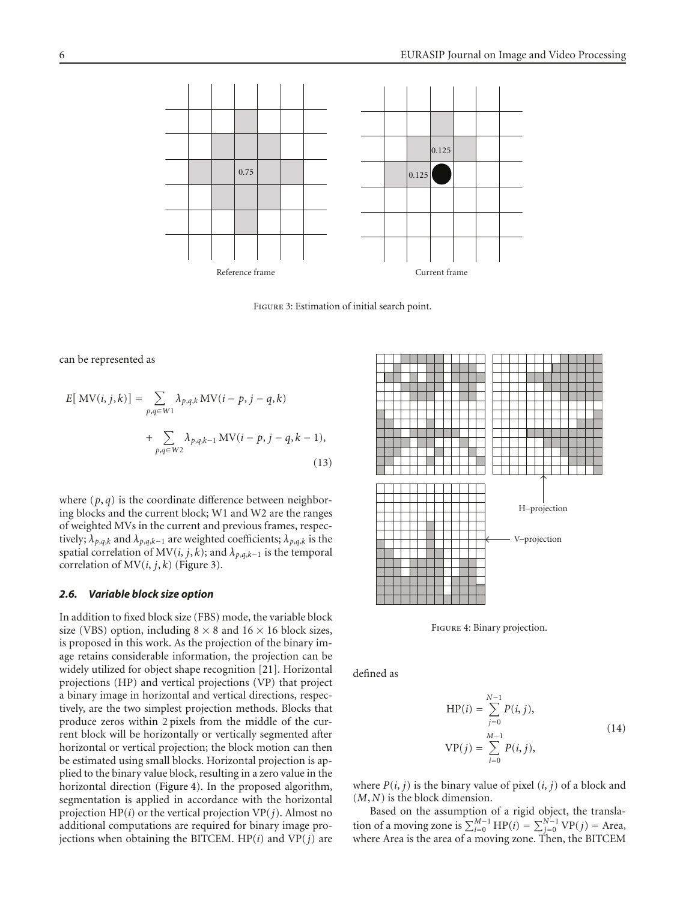

<span id="page-5-2"></span><span id="page-5-0"></span>Figure 3: Estimation of initial search point.

can be represented as

$$
E[\text{MV}(i, j, k)] = \sum_{p,q \in W1} \lambda_{p,q,k} \text{MV}(i - p, j - q, k) + \sum_{p,q \in W2} \lambda_{p,q,k-1} \text{MV}(i - p, j - q, k - 1),
$$
\n(13)

where  $(p, q)$  is the coordinate difference between neighboring blocks and the current block; W1 and W2 are the ranges of weighted MVs in the current and previous frames, respectively;  $\lambda_{p,q,k}$  and  $\lambda_{p,q,k-1}$  are weighted coefficients;  $\lambda_{p,q,k}$  is the spatial correlation of  $MV(i, j, k)$ ; and  $\lambda_{p,q,k-1}$  is the temporal correlation of  $MV(i, j, k)$  [\(Figure 3\)](#page-5-0).

## <span id="page-5-3"></span>*2.6. Variable block size option*

In addition to fixed block size (FBS) mode, the variable block size (VBS) option, including  $8 \times 8$  and  $16 \times 16$  block sizes, is proposed in this work. As the projection of the binary image retains considerable information, the projection can be widely utilized for object shape recognition [\[21](#page-10-18)]. Horizontal projections (HP) and vertical projections (VP) that project a binary image in horizontal and vertical directions, respectively, are the two simplest projection methods. Blocks that produce zeros within 2 pixels from the middle of the current block will be horizontally or vertically segmented after horizontal or vertical projection; the block motion can then be estimated using small blocks. Horizontal projection is applied to the binary value block, resulting in a zero value in the horizontal direction [\(Figure 4\)](#page-5-1). In the proposed algorithm, segmentation is applied in accordance with the horizontal projection HP(*i*) or the vertical projection VP(*j*). Almost no additional computations are required for binary image projections when obtaining the BITCEM. HP(*i*) and VP(*j*) are



<span id="page-5-1"></span>Figure 4: Binary projection.

defined as

<span id="page-5-4"></span>
$$
HP(i) = \sum_{j=0}^{N-1} P(i, j),
$$
  
\n
$$
VP(j) = \sum_{i=0}^{M-1} P(i, j),
$$
\n(14)

where  $P(i, j)$  is the binary value of pixel  $(i, j)$  of a block and (*M*, *N*) is the block dimension.

Based on the assumption of a rigid object, the translation of a moving zone is  $\sum_{i=0}^{M-1} HP(i) = \sum_{j=0}^{N-1} VP(j) = \text{Area}$ , where Area is the area of a moving zone. Then, the BITCEM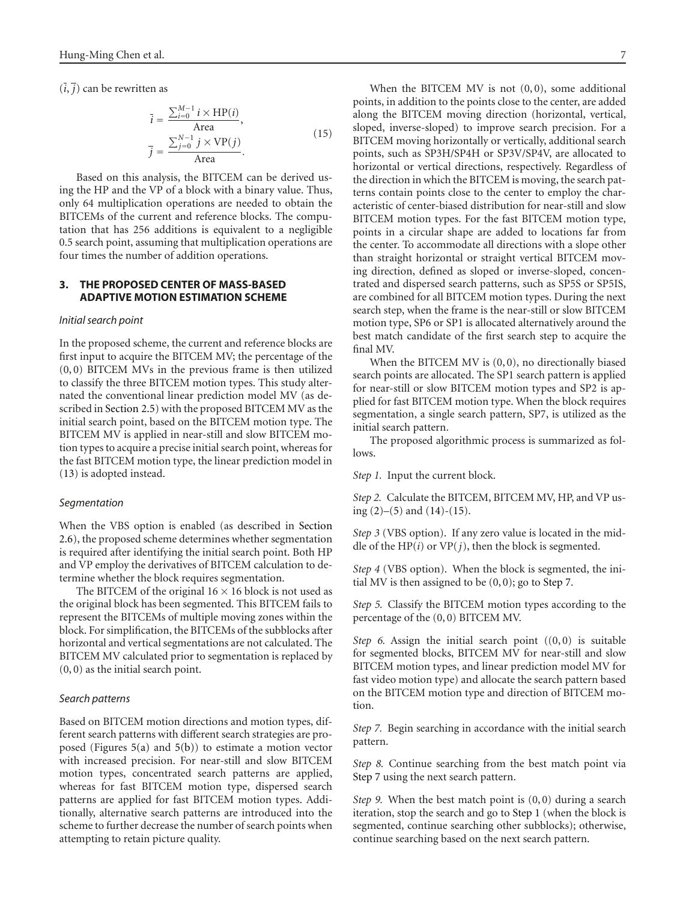$(\overline{i}, \overline{j})$  can be rewritten as

<span id="page-6-1"></span>
$$
\overline{i} = \frac{\sum_{i=0}^{M-1} i \times \text{HP}(i)}{\text{Area}},
$$
\n
$$
\overline{j} = \frac{\sum_{j=0}^{N-1} j \times \text{VP}(j)}{\text{Area}}.
$$
\n(15)

Based on this analysis, the BITCEM can be derived using the HP and the VP of a block with a binary value. Thus, only 64 multiplication operations are needed to obtain the BITCEMs of the current and reference blocks. The computation that has 256 additions is equivalent to a negligible 0.5 search point, assuming that multiplication operations are four times the number of addition operations.

# <span id="page-6-0"></span>**3. THE PROPOSED CENTER OF MASS-BASED ADAPTIVE MOTION ESTIMATION SCHEME**

#### *Initial search point*

In the proposed scheme, the current and reference blocks are first input to acquire the BITCEM MV; the percentage of the (0, 0) BITCEM MVs in the previous frame is then utilized to classify the three BITCEM motion types. This study alternated the conventional linear prediction model MV (as described in [Section 2.5\)](#page-4-2) with the proposed BITCEM MV as the initial search point, based on the BITCEM motion type. The BITCEM MV is applied in near-still and slow BITCEM motion types to acquire a precise initial search point, whereas for the fast BITCEM motion type, the linear prediction model in [\(13\)](#page-5-2) is adopted instead.

#### *Segmentation*

When the VBS option is enabled (as described in [Section](#page-5-3) [2.6\)](#page-5-3), the proposed scheme determines whether segmentation is required after identifying the initial search point. Both HP and VP employ the derivatives of BITCEM calculation to determine whether the block requires segmentation.

The BITCEM of the original  $16 \times 16$  block is not used as the original block has been segmented. This BITCEM fails to represent the BITCEMs of multiple moving zones within the block. For simplification, the BITCEMs of the subblocks after horizontal and vertical segmentations are not calculated. The BITCEM MV calculated prior to segmentation is replaced by (0, 0) as the initial search point.

## *Search patterns*

Based on BITCEM motion directions and motion types, different search patterns with different search strategies are proposed (Figures [5\(a\)](#page-7-1) and [5\(b\)\)](#page-7-2) to estimate a motion vector with increased precision. For near-still and slow BITCEM motion types, concentrated search patterns are applied, whereas for fast BITCEM motion type, dispersed search patterns are applied for fast BITCEM motion types. Additionally, alternative search patterns are introduced into the scheme to further decrease the number of search points when attempting to retain picture quality.

When the BITCEM MV is not  $(0, 0)$ , some additional points, in addition to the points close to the center, are added along the BITCEM moving direction (horizontal, vertical, sloped, inverse-sloped) to improve search precision. For a BITCEM moving horizontally or vertically, additional search points, such as SP3H/SP4H or SP3V/SP4V, are allocated to horizontal or vertical directions, respectively. Regardless of the direction in which the BITCEM is moving, the search patterns contain points close to the center to employ the characteristic of center-biased distribution for near-still and slow BITCEM motion types. For the fast BITCEM motion type, points in a circular shape are added to locations far from the center. To accommodate all directions with a slope other than straight horizontal or straight vertical BITCEM moving direction, defined as sloped or inverse-sloped, concentrated and dispersed search patterns, such as SP5S or SP5IS, are combined for all BITCEM motion types. During the next search step, when the frame is the near-still or slow BITCEM motion type, SP6 or SP1 is allocated alternatively around the best match candidate of the first search step to acquire the final MV.

When the BITCEM MV is  $(0, 0)$ , no directionally biased search points are allocated. The SP1 search pattern is applied for near-still or slow BITCEM motion types and SP2 is applied for fast BITCEM motion type. When the block requires segmentation, a single search pattern, SP7, is utilized as the initial search pattern.

<span id="page-6-3"></span>The proposed algorithmic process is summarized as follows.

*Step 1.* Input the current block.

*Step 2.* Calculate the BITCEM, BITCEM MV, HP, and VP using  $(2)$ – $(5)$  and  $(14)$ – $(15)$ .

*Step 3* (VBS option). If any zero value is located in the middle of the HP $(i)$  or VP $(j)$ , then the block is segmented.

*Step 4* (VBS option). When the block is segmented, the initial MV is then assigned to be  $(0, 0)$ ; go to [Step 7.](#page-6-2)

*Step 5.* Classify the BITCEM motion types according to the percentage of the (0, 0) BITCEM MV.

*Step 6.* Assign the initial search point  $((0,0)$  is suitable for segmented blocks, BITCEM MV for near-still and slow BITCEM motion types, and linear prediction model MV for fast video motion type) and allocate the search pattern based on the BITCEM motion type and direction of BITCEM motion.

<span id="page-6-2"></span>*Step 7.* Begin searching in accordance with the initial search pattern.

*Step 8.* Continue searching from the best match point via [Step 7](#page-6-2) using the next search pattern.

*Step 9.* When the best match point is (0, 0) during a search iteration, stop the search and go to [Step 1](#page-6-3) (when the block is segmented, continue searching other subblocks); otherwise, continue searching based on the next search pattern.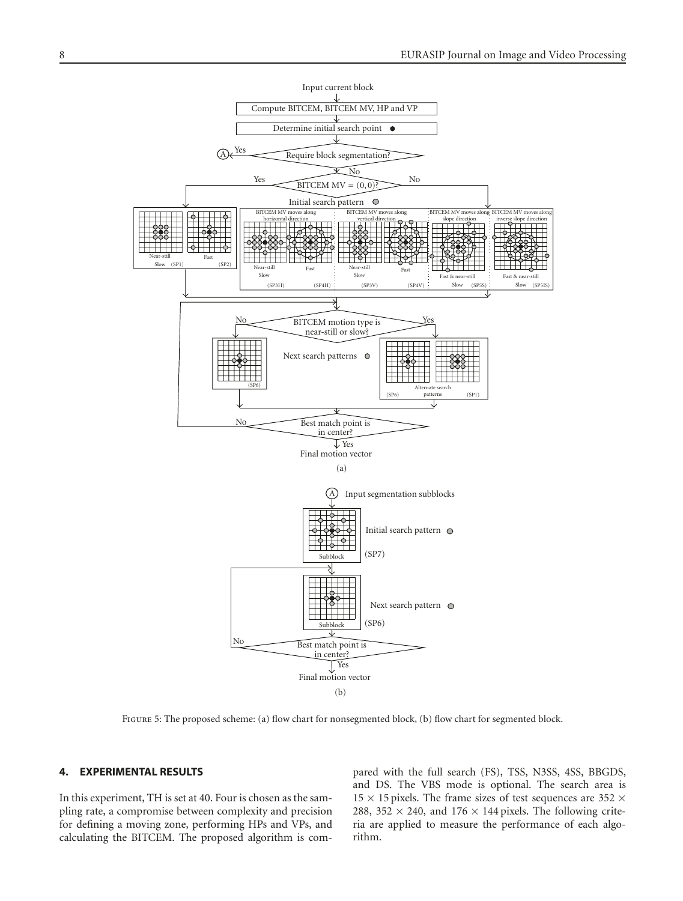<span id="page-7-1"></span>

<span id="page-7-2"></span>Figure 5: The proposed scheme: (a) flow chart for nonsegmented block, (b) flow chart for segmented block.

## <span id="page-7-0"></span>**4. EXPERIMENTAL RESULTS**

In this experiment, TH is set at 40. Four is chosen as the sampling rate, a compromise between complexity and precision for defining a moving zone, performing HPs and VPs, and calculating the BITCEM. The proposed algorithm is compared with the full search (FS), TSS, N3SS, 4SS, BBGDS, and DS. The VBS mode is optional. The search area is  $15 \times 15$  pixels. The frame sizes of test sequences are 352  $\times$ 288, 352  $\times$  240, and 176  $\times$  144 pixels. The following criteria are applied to measure the performance of each algorithm.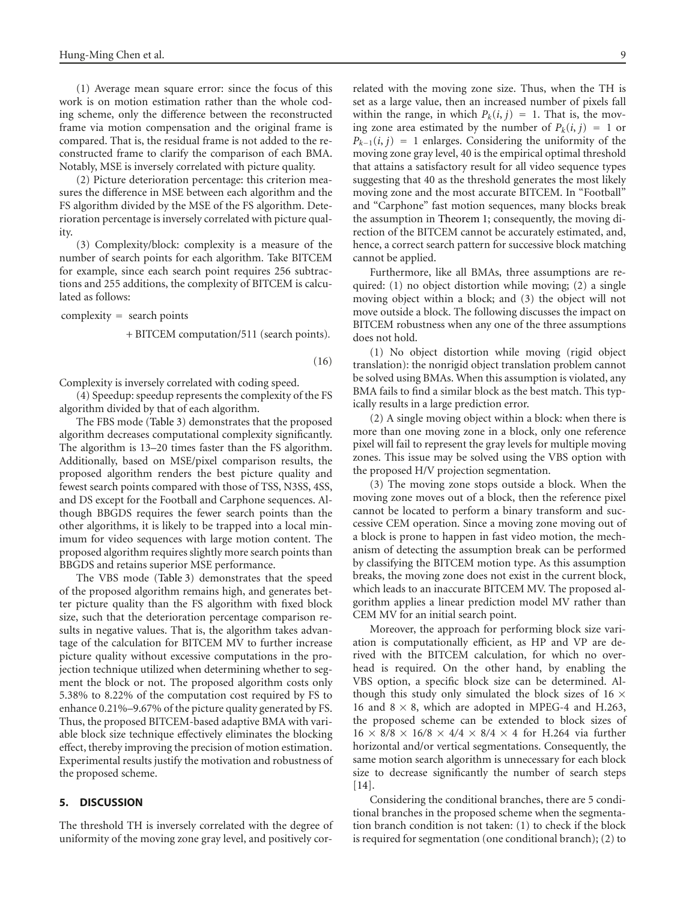(1) Average mean square error: since the focus of this work is on motion estimation rather than the whole coding scheme, only the difference between the reconstructed frame via motion compensation and the original frame is compared. That is, the residual frame is not added to the reconstructed frame to clarify the comparison of each BMA. Notably, MSE is inversely correlated with picture quality.

(2) Picture deterioration percentage: this criterion measures the difference in MSE between each algorithm and the FS algorithm divided by the MSE of the FS algorithm. Deterioration percentage is inversely correlated with picture quality.

(3) Complexity/block: complexity is a measure of the number of search points for each algorithm. Take BITCEM for example, since each search point requires 256 subtractions and 255 additions, the complexity of BITCEM is calculated as follows:

complexity = search points

+ BITCEM computation/511 (search points)*.*

(16)

Complexity is inversely correlated with coding speed.

(4) Speedup: speedup represents the complexity of the FS algorithm divided by that of each algorithm.

The FBS mode [\(Table 3\)](#page-9-1) demonstrates that the proposed algorithm decreases computational complexity significantly. The algorithm is 13–20 times faster than the FS algorithm. Additionally, based on MSE/pixel comparison results, the proposed algorithm renders the best picture quality and fewest search points compared with those of TSS, N3SS, 4SS, and DS except for the Football and Carphone sequences. Although BBGDS requires the fewer search points than the other algorithms, it is likely to be trapped into a local minimum for video sequences with large motion content. The proposed algorithm requires slightly more search points than BBGDS and retains superior MSE performance.

The VBS mode [\(Table 3\)](#page-9-1) demonstrates that the speed of the proposed algorithm remains high, and generates better picture quality than the FS algorithm with fixed block size, such that the deterioration percentage comparison results in negative values. That is, the algorithm takes advantage of the calculation for BITCEM MV to further increase picture quality without excessive computations in the projection technique utilized when determining whether to segment the block or not. The proposed algorithm costs only 5.38% to 8.22% of the computation cost required by FS to enhance 0.21%–9.67% of the picture quality generated by FS. Thus, the proposed BITCEM-based adaptive BMA with variable block size technique effectively eliminates the blocking effect, thereby improving the precision of motion estimation. Experimental results justify the motivation and robustness of the proposed scheme.

# <span id="page-8-0"></span>**5. DISCUSSION**

The threshold TH is inversely correlated with the degree of uniformity of the moving zone gray level, and positively correlated with the moving zone size. Thus, when the TH is set as a large value, then an increased number of pixels fall within the range, in which  $P_k(i, j) = 1$ . That is, the moving zone area estimated by the number of  $P_k(i, j) = 1$  or  $P_{k-1}(i, j) = 1$  enlarges. Considering the uniformity of the moving zone gray level, 40 is the empirical optimal threshold that attains a satisfactory result for all video sequence types suggesting that 40 as the threshold generates the most likely moving zone and the most accurate BITCEM. In "Football" and "Carphone" fast motion sequences, many blocks break the assumption in [Theorem 1;](#page-3-2) consequently, the moving direction of the BITCEM cannot be accurately estimated, and, hence, a correct search pattern for successive block matching cannot be applied.

Furthermore, like all BMAs, three assumptions are required: (1) no object distortion while moving; (2) a single moving object within a block; and (3) the object will not move outside a block. The following discusses the impact on BITCEM robustness when any one of the three assumptions does not hold.

(1) No object distortion while moving (rigid object translation): the nonrigid object translation problem cannot be solved using BMAs. When this assumption is violated, any BMA fails to find a similar block as the best match. This typically results in a large prediction error.

(2) A single moving object within a block: when there is more than one moving zone in a block, only one reference pixel will fail to represent the gray levels for multiple moving zones. This issue may be solved using the VBS option with the proposed H/V projection segmentation.

(3) The moving zone stops outside a block. When the moving zone moves out of a block, then the reference pixel cannot be located to perform a binary transform and successive CEM operation. Since a moving zone moving out of a block is prone to happen in fast video motion, the mechanism of detecting the assumption break can be performed by classifying the BITCEM motion type. As this assumption breaks, the moving zone does not exist in the current block, which leads to an inaccurate BITCEM MV. The proposed algorithm applies a linear prediction model MV rather than CEM MV for an initial search point.

Moreover, the approach for performing block size variation is computationally efficient, as HP and VP are derived with the BITCEM calculation, for which no overhead is required. On the other hand, by enabling the VBS option, a specific block size can be determined. Although this study only simulated the block sizes of 16  $\times$ 16 and  $8 \times 8$ , which are adopted in MPEG-4 and H.263, the proposed scheme can be extended to block sizes of <sup>16</sup> <sup>×</sup> <sup>8</sup>*/*<sup>8</sup> <sup>×</sup> <sup>16</sup>*/*<sup>8</sup> <sup>×</sup> <sup>4</sup>*/*<sup>4</sup> <sup>×</sup> <sup>8</sup>*/*<sup>4</sup> <sup>×</sup> 4 for H.264 via further horizontal and/or vertical segmentations. Consequently, the same motion search algorithm is unnecessary for each block size to decrease significantly the number of search steps [\[14](#page-10-19)].

Considering the conditional branches, there are 5 conditional branches in the proposed scheme when the segmentation branch condition is not taken: (1) to check if the block is required for segmentation (one conditional branch); (2) to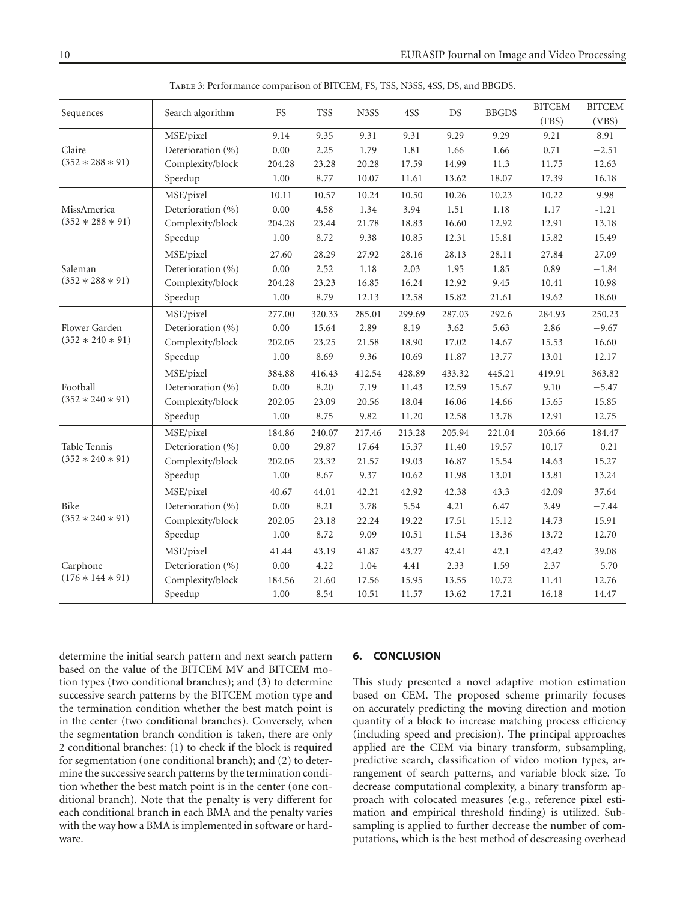| Sequences          | Search algorithm  | <b>FS</b> | <b>TSS</b> | N3SS   | 4SS    | DS     | <b>BBGDS</b> | <b>BITCEM</b><br>(FBS) | <b>BITCEM</b><br>(VBS) |
|--------------------|-------------------|-----------|------------|--------|--------|--------|--------------|------------------------|------------------------|
|                    | MSE/pixel         | 9.14      | 9.35       | 9.31   | 9.31   | 9.29   | 9.29         | 9.21                   | 8.91                   |
| Claire             | Deterioration (%) | 0.00      | 2.25       | 1.79   | 1.81   | 1.66   | 1.66         | 0.71                   | $-2.51$                |
| $(352 * 288 * 91)$ | Complexity/block  | 204.28    | 23.28      | 20.28  | 17.59  | 14.99  | 11.3         | 11.75                  | 12.63                  |
|                    | Speedup           | 1.00      | 8.77       | 10.07  | 11.61  | 13.62  | 18.07        | 17.39                  | 16.18                  |
|                    | MSE/pixel         | 10.11     | 10.57      | 10.24  | 10.50  | 10.26  | 10.23        | 10.22                  | 9.98                   |
| MissAmerica        | Deterioration (%) | 0.00      | 4.58       | 1.34   | 3.94   | 1.51   | $1.18\,$     | 1.17                   | $-1.21$                |
| $(352 * 288 * 91)$ | Complexity/block  | 204.28    | 23.44      | 21.78  | 18.83  | 16.60  | 12.92        | 12.91                  | 13.18                  |
|                    | Speedup           | 1.00      | 8.72       | 9.38   | 10.85  | 12.31  | 15.81        | 15.82                  | 15.49                  |
|                    | MSE/pixel         | 27.60     | 28.29      | 27.92  | 28.16  | 28.13  | 28.11        | 27.84                  | 27.09                  |
| Saleman            | Deterioration (%) | $0.00\,$  | 2.52       | 1.18   | 2.03   | 1.95   | 1.85         | 0.89                   | $-1.84$                |
| $(352 * 288 * 91)$ | Complexity/block  | 204.28    | 23.23      | 16.85  | 16.24  | 12.92  | 9.45         | 10.41                  | 10.98                  |
|                    | Speedup           | 1.00      | 8.79       | 12.13  | 12.58  | 15.82  | 21.61        | 19.62                  | 18.60                  |
|                    | MSE/pixel         | 277.00    | 320.33     | 285.01 | 299.69 | 287.03 | 292.6        | 284.93                 | 250.23                 |
| Flower Garden      | Deterioration (%) | $0.00\,$  | 15.64      | 2.89   | 8.19   | 3.62   | 5.63         | 2.86                   | $-9.67$                |
| $(352 * 240 * 91)$ | Complexity/block  | 202.05    | 23.25      | 21.58  | 18.90  | 17.02  | 14.67        | 15.53                  | 16.60                  |
|                    | Speedup           | 1.00      | 8.69       | 9.36   | 10.69  | 11.87  | 13.77        | 13.01                  | 12.17                  |
|                    | MSE/pixel         | 384.88    | 416.43     | 412.54 | 428.89 | 433.32 | 445.21       | 419.91                 | 363.82                 |
| Football           | Deterioration (%) | 0.00      | 8.20       | 7.19   | 11.43  | 12.59  | 15.67        | 9.10                   | $-5.47$                |
| $(352 * 240 * 91)$ | Complexity/block  | 202.05    | 23.09      | 20.56  | 18.04  | 16.06  | 14.66        | 15.65                  | 15.85                  |
|                    | Speedup           | 1.00      | 8.75       | 9.82   | 11.20  | 12.58  | 13.78        | 12.91                  | 12.75                  |
|                    | MSE/pixel         | 184.86    | 240.07     | 217.46 | 213.28 | 205.94 | 221.04       | 203.66                 | 184.47                 |
| Table Tennis       | Deterioration (%) | 0.00      | 29.87      | 17.64  | 15.37  | 11.40  | 19.57        | 10.17                  | $-0.21$                |
| $(352 * 240 * 91)$ | Complexity/block  | 202.05    | 23.32      | 21.57  | 19.03  | 16.87  | 15.54        | 14.63                  | 15.27                  |
|                    | Speedup           | $1.00\,$  | 8.67       | 9.37   | 10.62  | 11.98  | 13.01        | 13.81                  | 13.24                  |
|                    | MSE/pixel         | 40.67     | 44.01      | 42.21  | 42.92  | 42.38  | 43.3         | 42.09                  | 37.64                  |
| Bike               | Deterioration (%) | 0.00      | 8.21       | 3.78   | 5.54   | 4.21   | 6.47         | 3.49                   | $-7.44$                |
| $(352 * 240 * 91)$ | Complexity/block  | 202.05    | 23.18      | 22.24  | 19.22  | 17.51  | 15.12        | 14.73                  | 15.91                  |
|                    | Speedup           | 1.00      | 8.72       | 9.09   | 10.51  | 11.54  | 13.36        | 13.72                  | 12.70                  |
|                    | MSE/pixel         | 41.44     | 43.19      | 41.87  | 43.27  | 42.41  | 42.1         | 42.42                  | 39.08                  |
| Carphone           | Deterioration (%) | $0.00\,$  | 4.22       | 1.04   | 4.41   | 2.33   | 1.59         | 2.37                   | $-5.70$                |
| $(176 * 144 * 91)$ | Complexity/block  | 184.56    | 21.60      | 17.56  | 15.95  | 13.55  | 10.72        | 11.41                  | 12.76                  |
|                    | Speedup           | 1.00      | 8.54       | 10.51  | 11.57  | 13.62  | 17.21        | 16.18                  | 14.47                  |
|                    |                   |           |            |        |        |        |              |                        |                        |

<span id="page-9-1"></span>Table 3: Performance comparison of BITCEM, FS, TSS, N3SS, 4SS, DS, and BBGDS.

determine the initial search pattern and next search pattern based on the value of the BITCEM MV and BITCEM motion types (two conditional branches); and (3) to determine successive search patterns by the BITCEM motion type and the termination condition whether the best match point is in the center (two conditional branches). Conversely, when the segmentation branch condition is taken, there are only 2 conditional branches: (1) to check if the block is required for segmentation (one conditional branch); and (2) to determine the successive search patterns by the termination condition whether the best match point is in the center (one conditional branch). Note that the penalty is very different for each conditional branch in each BMA and the penalty varies with the way how a BMA is implemented in software or hardware.

## <span id="page-9-0"></span>**6. CONCLUSION**

This study presented a novel adaptive motion estimation based on CEM. The proposed scheme primarily focuses on accurately predicting the moving direction and motion quantity of a block to increase matching process efficiency (including speed and precision). The principal approaches applied are the CEM via binary transform, subsampling, predictive search, classification of video motion types, arrangement of search patterns, and variable block size. To decrease computational complexity, a binary transform approach with colocated measures (e.g., reference pixel estimation and empirical threshold finding) is utilized. Subsampling is applied to further decrease the number of computations, which is the best method of descreasing overhead